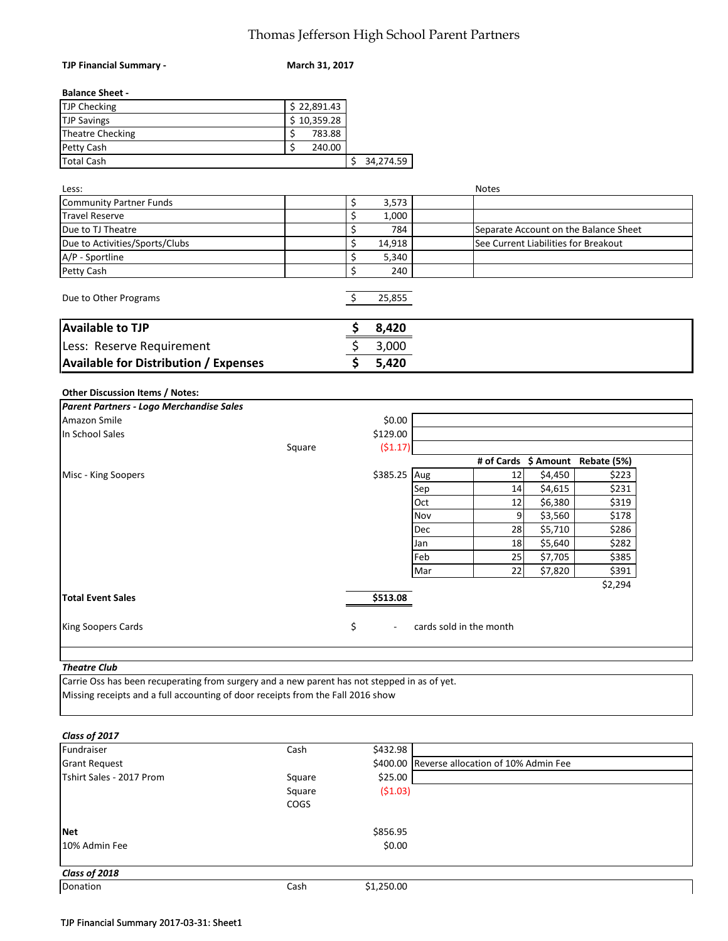#### Thomas Jefferson High School Parent Partners

| <b>TJP Financial Summary -</b>                                                               | March 31, 2017 |    |              |                         |                                              |                    |                                       |
|----------------------------------------------------------------------------------------------|----------------|----|--------------|-------------------------|----------------------------------------------|--------------------|---------------------------------------|
| <b>Balance Sheet -</b>                                                                       |                |    |              |                         |                                              |                    |                                       |
| <b>TJP Checking</b>                                                                          | \$22,891.43    |    |              |                         |                                              |                    |                                       |
| <b>TJP Savings</b>                                                                           | \$10,359.28    |    |              |                         |                                              |                    |                                       |
| <b>Theatre Checking</b>                                                                      | \$<br>783.88   |    |              |                         |                                              |                    |                                       |
| Petty Cash                                                                                   | \$<br>240.00   |    |              |                         |                                              |                    |                                       |
| <b>Total Cash</b>                                                                            |                | \$ | 34,274.59    |                         |                                              |                    |                                       |
| Less:                                                                                        |                |    |              |                         | <b>Notes</b>                                 |                    |                                       |
| <b>Community Partner Funds</b>                                                               |                | \$ | 3,573        |                         |                                              |                    |                                       |
| <b>Travel Reserve</b>                                                                        |                | \$ | 1,000        |                         |                                              |                    |                                       |
| Due to TJ Theatre                                                                            |                | \$ | 784          |                         |                                              |                    | Separate Account on the Balance Sheet |
| Due to Activities/Sports/Clubs                                                               |                | \$ | 14,918       |                         | See Current Liabilities for Breakout         |                    |                                       |
| A/P - Sportline                                                                              |                | \$ | 5,340        |                         |                                              |                    |                                       |
| Petty Cash                                                                                   |                | \$ | 240          |                         |                                              |                    |                                       |
| Due to Other Programs                                                                        |                | \$ | 25,855       |                         |                                              |                    |                                       |
|                                                                                              |                |    |              |                         |                                              |                    |                                       |
| <b>Available to TJP</b>                                                                      |                | \$ | 8,420        |                         |                                              |                    |                                       |
| Less: Reserve Requirement                                                                    |                | \$ | 3,000        |                         |                                              |                    |                                       |
| <b>Available for Distribution / Expenses</b>                                                 |                | Ś  | 5,420        |                         |                                              |                    |                                       |
|                                                                                              |                |    |              |                         |                                              |                    |                                       |
| Other Discussion Items / Notes:                                                              |                |    |              |                         |                                              |                    |                                       |
| Parent Partners - Logo Merchandise Sales                                                     |                |    |              |                         |                                              |                    |                                       |
| Amazon Smile                                                                                 |                |    | \$0.00       |                         |                                              |                    |                                       |
| In School Sales                                                                              |                |    | \$129.00     |                         |                                              |                    |                                       |
|                                                                                              | Square         |    | (51.17)      |                         |                                              |                    |                                       |
|                                                                                              |                |    |              |                         |                                              |                    | # of Cards \$ Amount Rebate (5%)      |
| Misc - King Soopers                                                                          |                |    | \$385.25 Aug |                         | 12                                           | \$4,450            | \$223<br>\$231                        |
|                                                                                              |                |    |              | Sep                     | 14<br>12                                     | \$4,615<br>\$6,380 | \$319                                 |
|                                                                                              |                |    |              | Oct                     |                                              |                    |                                       |
|                                                                                              |                |    |              | Nov<br>Dec              | 9<br>28                                      | \$3,560            | \$178<br>\$286                        |
|                                                                                              |                |    |              |                         | 18                                           | \$5,710<br>\$5,640 | \$282                                 |
|                                                                                              |                |    |              | Jan<br>Feb              | 25                                           | \$7,705            | \$385                                 |
|                                                                                              |                |    |              | Mar                     | 22                                           | \$7,820            | $\overline{$}391$                     |
|                                                                                              |                |    |              |                         |                                              |                    | \$2,294                               |
| <b>Total Event Sales</b>                                                                     |                |    | \$513.08     |                         |                                              |                    |                                       |
| King Soopers Cards                                                                           |                | \$ |              | cards sold in the month |                                              |                    |                                       |
|                                                                                              |                |    |              |                         |                                              |                    |                                       |
| <b>Theatre Club</b>                                                                          |                |    |              |                         |                                              |                    |                                       |
| Carrie Oss has been recuperating from surgery and a new parent has not stepped in as of yet. |                |    |              |                         |                                              |                    |                                       |
| Missing receipts and a full accounting of door receipts from the Fall 2016 show              |                |    |              |                         |                                              |                    |                                       |
|                                                                                              |                |    |              |                         |                                              |                    |                                       |
| Class of 2017                                                                                |                |    |              |                         |                                              |                    |                                       |
| Fundraiser                                                                                   | Cash           |    | \$432.98     |                         | \$400.00 Reverse allocation of 10% Admin Fee |                    |                                       |
| <b>Grant Request</b>                                                                         |                |    |              |                         |                                              |                    |                                       |
| Tshirt Sales - 2017 Prom                                                                     | Square         |    | \$25.00      |                         |                                              |                    |                                       |
|                                                                                              | Square<br>COGS |    | (51.03)      |                         |                                              |                    |                                       |

*Class of 2018*

Donation Cash \$1,250.00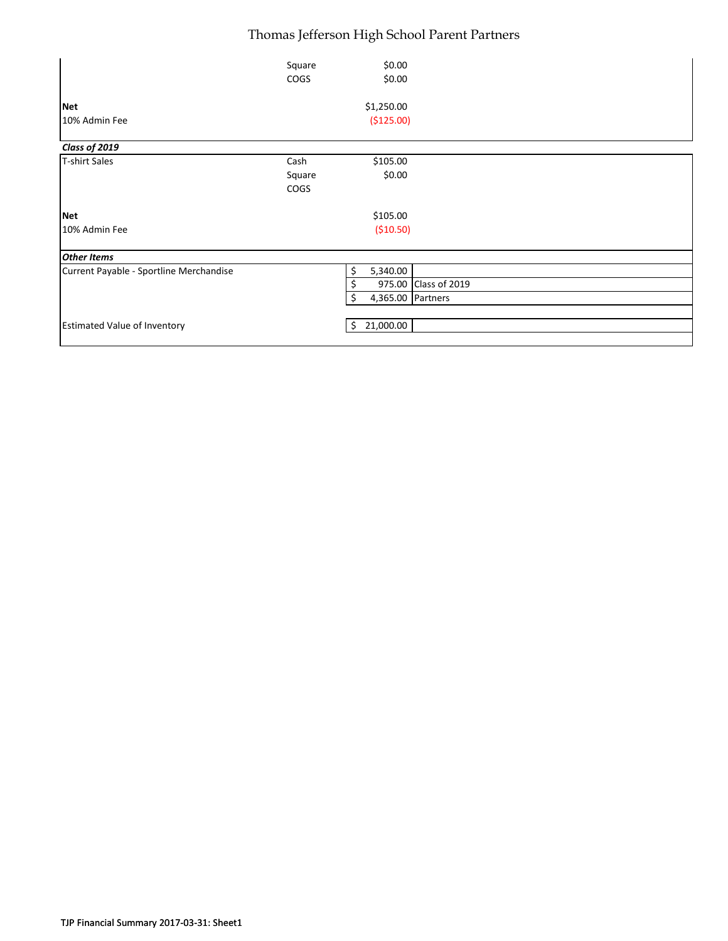#### Thomas Jefferson High School Parent Partners

|                                         | Square<br><b>COGS</b>         | \$0.00<br>\$0.00                                          |               |
|-----------------------------------------|-------------------------------|-----------------------------------------------------------|---------------|
| <b>Net</b><br>10% Admin Fee             |                               | \$1,250.00<br>(\$125.00)                                  |               |
| Class of 2019                           |                               |                                                           |               |
| <b>T-shirt Sales</b>                    | Cash<br>Square<br><b>COGS</b> | \$105.00<br>\$0.00                                        |               |
| <b>Net</b><br>10% Admin Fee             |                               | \$105.00<br>(\$10.50)                                     |               |
| <b>Other Items</b>                      |                               |                                                           |               |
| Current Payable - Sportline Merchandise |                               | \$<br>5,340.00<br>\$<br>975.00<br>\$<br>4,365.00 Partners | Class of 2019 |
| <b>Estimated Value of Inventory</b>     |                               | 21,000.00<br>\$                                           |               |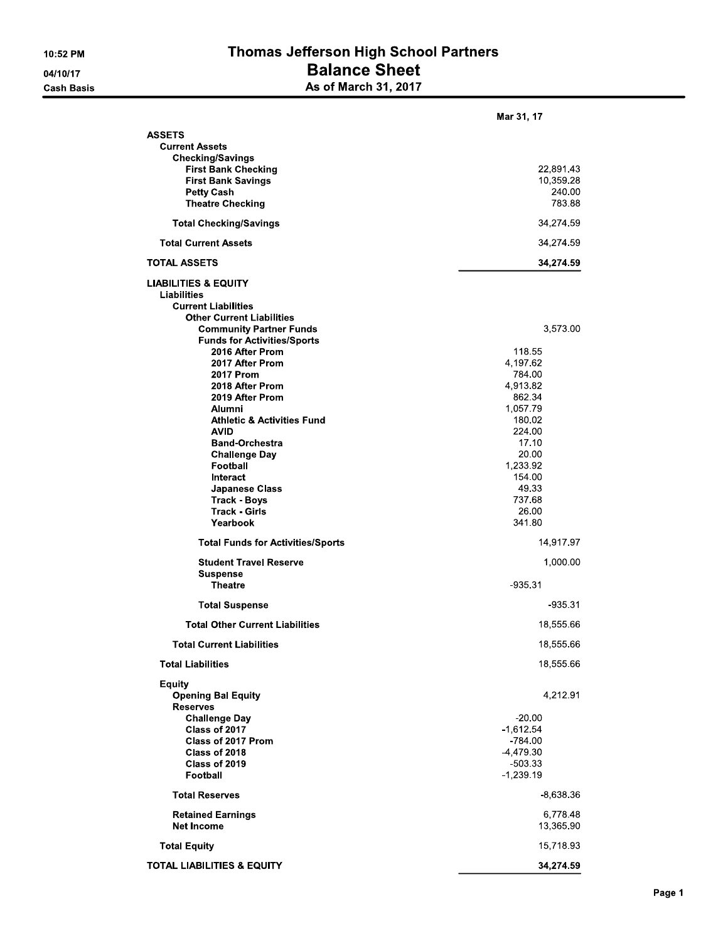## Thomas Jefferson High School Partners Balance Sheet<br>As of March 31, 2017

|                                                                                                                                                                                                                                                                                                                                                                                                                                                                                                              | Mar 31, 17                                                                                                                                                                   |  |
|--------------------------------------------------------------------------------------------------------------------------------------------------------------------------------------------------------------------------------------------------------------------------------------------------------------------------------------------------------------------------------------------------------------------------------------------------------------------------------------------------------------|------------------------------------------------------------------------------------------------------------------------------------------------------------------------------|--|
| <b>ASSETS</b><br><b>Current Assets</b><br><b>Checking/Savings</b><br><b>First Bank Checking</b><br><b>First Bank Savings</b><br><b>Petty Cash</b><br><b>Theatre Checking</b>                                                                                                                                                                                                                                                                                                                                 | 22,891 43<br>10,359.28<br>240.00<br>78388                                                                                                                                    |  |
| <b>Total Checking/Savings</b>                                                                                                                                                                                                                                                                                                                                                                                                                                                                                | 34,274.59                                                                                                                                                                    |  |
| <b>Total Current Assets</b>                                                                                                                                                                                                                                                                                                                                                                                                                                                                                  | 34,274.59                                                                                                                                                                    |  |
| <b>TOTAL ASSETS</b>                                                                                                                                                                                                                                                                                                                                                                                                                                                                                          | 34,274.59                                                                                                                                                                    |  |
| <b>LIABILITIES &amp; EQUITY</b><br>Liabilities<br><b>Current Liabilities</b><br><b>Other Current Liabilities</b><br><b>Community Partner Funds</b><br><b>Funds for Activities/Sports</b><br>2016 After Prom<br>2017 After Prom<br><b>2017 Prom</b><br>2018 After Prom<br>2019 After Prom<br>Alumni<br><b>Athletic &amp; Activities Fund</b><br><b>AVID</b><br><b>Band-Orchestra</b><br><b>Challenge Day</b><br>Football<br>Interact<br><b>Japanese Class</b><br><b>Track Boys</b><br>Track Girls<br>Yearbook | 3,573.00<br>118 55<br>4,197.62<br>784 00<br>4,913.82<br>862 34<br>1,057.79<br>180.02<br>224.00<br>17.10<br>20.00<br>1,233.92<br>154.00<br>49 33<br>737 68<br>26.00<br>341 80 |  |
| <b>Total Funds for Activities/Sports</b>                                                                                                                                                                                                                                                                                                                                                                                                                                                                     | 14,917.97                                                                                                                                                                    |  |
| <b>Student Travel Reserve</b><br><b>Suspense</b><br><b>Theatre</b>                                                                                                                                                                                                                                                                                                                                                                                                                                           | 1,000.00<br>93531                                                                                                                                                            |  |
| <b>Total Suspense</b><br><b>Total Other Current Liabilities</b>                                                                                                                                                                                                                                                                                                                                                                                                                                              | 935 31<br>18,555.66                                                                                                                                                          |  |
| <b>Total Current Liabilities</b>                                                                                                                                                                                                                                                                                                                                                                                                                                                                             | 18,555.66                                                                                                                                                                    |  |
| <b>Total Liabilities</b>                                                                                                                                                                                                                                                                                                                                                                                                                                                                                     | 18,555.66                                                                                                                                                                    |  |
| <b>Equity</b><br><b>Opening Bal Equity</b><br><b>Reserves</b><br><b>Challenge Day</b><br>Class of 2017<br>Class of 2017 Prom<br>Class of 2018<br>Class of 2019<br>Football                                                                                                                                                                                                                                                                                                                                   | 4,212.91<br>$-20.00$<br>$-1,612.54$<br>-784 00<br>-4,479.30<br>-503 33<br>$-1,239.19$                                                                                        |  |
| <b>Total Reserves</b>                                                                                                                                                                                                                                                                                                                                                                                                                                                                                        | -8,638 36                                                                                                                                                                    |  |
| <b>Retained Earnings</b><br><b>Net Income</b>                                                                                                                                                                                                                                                                                                                                                                                                                                                                | 6,778.48<br>13,365.90                                                                                                                                                        |  |
| <b>Total Equity</b>                                                                                                                                                                                                                                                                                                                                                                                                                                                                                          | 15,718.93                                                                                                                                                                    |  |
| <b>TOTAL LIABILITIES &amp; EQUITY</b>                                                                                                                                                                                                                                                                                                                                                                                                                                                                        | 34.274.59                                                                                                                                                                    |  |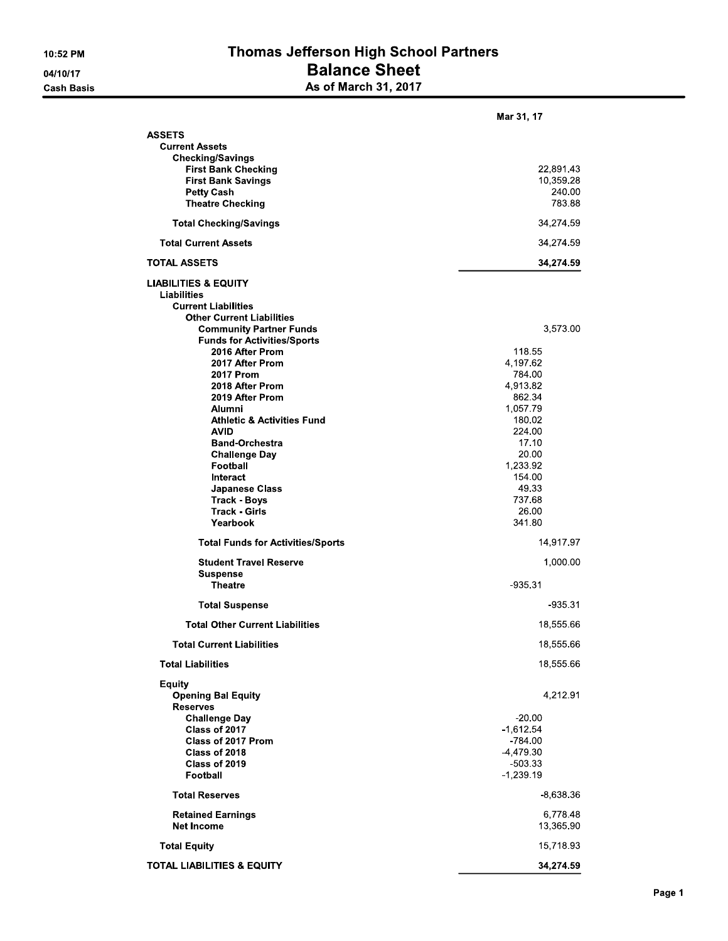## Thomas Jefferson High School Partners Balance Sheet<br>As of March 31, 2017

|                                                                                                                                                                                                                                                                                                                                                                                                                                                                                                              | Mar 31, 17                                                                                                                                                                   |  |
|--------------------------------------------------------------------------------------------------------------------------------------------------------------------------------------------------------------------------------------------------------------------------------------------------------------------------------------------------------------------------------------------------------------------------------------------------------------------------------------------------------------|------------------------------------------------------------------------------------------------------------------------------------------------------------------------------|--|
| <b>ASSETS</b><br><b>Current Assets</b><br><b>Checking/Savings</b><br><b>First Bank Checking</b><br><b>First Bank Savings</b><br><b>Petty Cash</b><br><b>Theatre Checking</b>                                                                                                                                                                                                                                                                                                                                 | 22,891 43<br>10,359.28<br>240.00<br>78388                                                                                                                                    |  |
| <b>Total Checking/Savings</b>                                                                                                                                                                                                                                                                                                                                                                                                                                                                                | 34,274.59                                                                                                                                                                    |  |
| <b>Total Current Assets</b>                                                                                                                                                                                                                                                                                                                                                                                                                                                                                  | 34,274.59                                                                                                                                                                    |  |
| <b>TOTAL ASSETS</b>                                                                                                                                                                                                                                                                                                                                                                                                                                                                                          | 34,274.59                                                                                                                                                                    |  |
| <b>LIABILITIES &amp; EQUITY</b><br>Liabilities<br><b>Current Liabilities</b><br><b>Other Current Liabilities</b><br><b>Community Partner Funds</b><br><b>Funds for Activities/Sports</b><br>2016 After Prom<br>2017 After Prom<br><b>2017 Prom</b><br>2018 After Prom<br>2019 After Prom<br>Alumni<br><b>Athletic &amp; Activities Fund</b><br><b>AVID</b><br><b>Band-Orchestra</b><br><b>Challenge Day</b><br>Football<br>Interact<br><b>Japanese Class</b><br><b>Track Boys</b><br>Track Girls<br>Yearbook | 3,573.00<br>118 55<br>4,197.62<br>784 00<br>4,913.82<br>862 34<br>1,057.79<br>180.02<br>224.00<br>17.10<br>20.00<br>1,233.92<br>154.00<br>49 33<br>737 68<br>26.00<br>341 80 |  |
| <b>Total Funds for Activities/Sports</b>                                                                                                                                                                                                                                                                                                                                                                                                                                                                     | 14,917.97                                                                                                                                                                    |  |
| <b>Student Travel Reserve</b><br><b>Suspense</b><br><b>Theatre</b>                                                                                                                                                                                                                                                                                                                                                                                                                                           | 1,000.00<br>93531                                                                                                                                                            |  |
| <b>Total Suspense</b><br><b>Total Other Current Liabilities</b>                                                                                                                                                                                                                                                                                                                                                                                                                                              | 935 31<br>18,555.66                                                                                                                                                          |  |
| <b>Total Current Liabilities</b>                                                                                                                                                                                                                                                                                                                                                                                                                                                                             | 18,555.66                                                                                                                                                                    |  |
| <b>Total Liabilities</b>                                                                                                                                                                                                                                                                                                                                                                                                                                                                                     | 18,555.66                                                                                                                                                                    |  |
| <b>Equity</b><br><b>Opening Bal Equity</b><br><b>Reserves</b><br><b>Challenge Day</b><br>Class of 2017<br>Class of 2017 Prom<br>Class of 2018<br>Class of 2019<br>Football                                                                                                                                                                                                                                                                                                                                   | 4,212.91<br>$-20.00$<br>$-1,612.54$<br>-784 00<br>-4,479.30<br>-503 33<br>$-1,239.19$                                                                                        |  |
| <b>Total Reserves</b>                                                                                                                                                                                                                                                                                                                                                                                                                                                                                        | -8,638 36                                                                                                                                                                    |  |
| <b>Retained Earnings</b><br><b>Net Income</b>                                                                                                                                                                                                                                                                                                                                                                                                                                                                | 6,778.48<br>13,365.90                                                                                                                                                        |  |
| <b>Total Equity</b>                                                                                                                                                                                                                                                                                                                                                                                                                                                                                          | 15,718.93                                                                                                                                                                    |  |
| <b>TOTAL LIABILITIES &amp; EQUITY</b>                                                                                                                                                                                                                                                                                                                                                                                                                                                                        | 34.274.59                                                                                                                                                                    |  |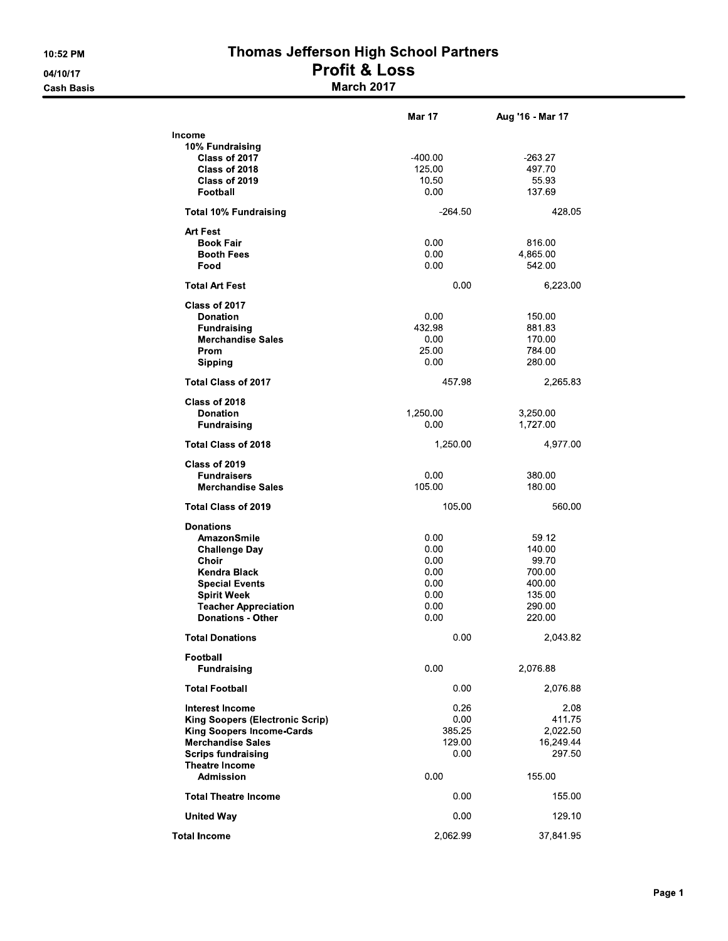#### Thomas Jefferson High School Partners Profit & Loss **March 2017**

|                                        | Mar 17    | Aug 16 Mar 17 |
|----------------------------------------|-----------|---------------|
| Income                                 |           |               |
| 10% Fundraising                        |           |               |
| Class of 2017                          | $-400.00$ | $-263.27$     |
| Class of 2018                          | 125.00    | 497.70        |
| Class of 2019                          | 10.50     | 55.93         |
| Football                               | 0.00      | 137.69        |
| <b>Total 10% Fundraising</b>           | $-264.50$ | 428.05        |
| <b>Art Fest</b>                        |           |               |
| <b>Book Fair</b>                       | 0.00      | 816.00        |
| <b>Booth Fees</b>                      | 0.00      | 4,865.00      |
| Food                                   | 0.00      | 542.00        |
|                                        |           |               |
| <b>Total Art Fest</b>                  | 0.00      | 6,223.00      |
| Class of 2017                          |           |               |
| Donation                               | 0.00      | 150.00        |
| <b>Fundraising</b>                     | 432.98    | 881.83        |
| <b>Merchandise Sales</b>               | 0.00      | 170.00        |
| Prom                                   | 25.00     | 784 00        |
| Sipping                                | 0.00      | 280.00        |
| <b>Total Class of 2017</b>             | 457.98    | 2.26583       |
| Class of 2018                          |           |               |
| <b>Donation</b>                        | 1,250.00  | 3,250.00      |
| <b>Fundraising</b>                     | 0.00      | 1.727.00      |
| <b>Total Class of 2018</b>             | 1,250.00  | 4,977.00      |
| Class of 2019                          |           |               |
| Fundraisers                            | 0.00      | 380,00        |
| <b>Merchandise Sales</b>               | 105.00    | 180.00        |
| <b>Total Class of 2019</b>             | 105.00    | 560.00        |
| <b>Donations</b>                       |           |               |
| AmazonSmile                            | 0.00      | 59 12         |
| <b>Challenge Day</b>                   | 0.00      | 140.00        |
| Choir                                  | 0.00      | 99.70         |
| Kendra Black                           | 0.00      | 700.00        |
| <b>Special Events</b>                  | 0.00      | 400.00        |
| <b>Spirit Week</b>                     | 0.00      | 135.00        |
| <b>Teacher Appreciation</b>            | 0.00      | 290.00        |
| <b>Donations - Other</b>               | 0.00      | 220.00        |
| <b>Total Donations</b>                 | 0.00      | 2,043.82      |
| Football                               |           |               |
| <b>Fundraising</b>                     | 0.00      | 2,076.88      |
| <b>Total Football</b>                  | 0.00      | 2,076.88      |
| Interest Income                        | 0.26      | 2.08          |
| <b>King Soopers (Electronic Scrip)</b> | 0.00      | 411.75        |
| <b>King Soopers Income-Cards</b>       | 385.25    | 2.022.50      |
| <b>Merchandise Sales</b>               | 129.00    | 16,249.44     |
| <b>Scrips fundraising</b>              | 0.00      | 297 50        |
| <b>Theatre Income</b>                  |           |               |
| <b>Admission</b>                       | 0.00      | 155.00        |
| <b>Total Theatre Income</b>            | 0.00      | 155.00        |
| <b>United Way</b>                      | 0.00      | 129.10        |
| <b>Total Income</b>                    | 2,062.99  | 37,841.95     |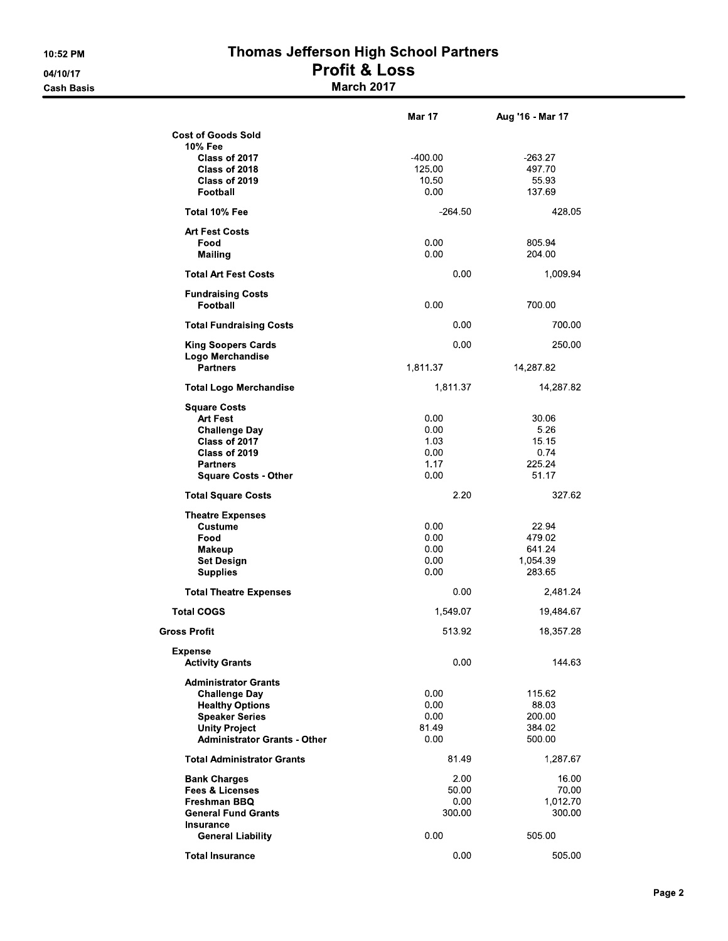10:52 PM

04/10/17 **Cash Basis** 

### Thomas Jefferson High School Partners **Profit & Loss**<br>March 2017

|                                                             | <b>Mar 17</b> | Aug '16 - Mar 17   |
|-------------------------------------------------------------|---------------|--------------------|
| <b>Cost of Goods Sold</b><br>10% Fee                        |               |                    |
| Class of 2017                                               | $-400.00$     | $-263.27$          |
| Class of 2018                                               | 125.00        | 497.70             |
| Class of 2019                                               | 10.50         | 55 93              |
| Football                                                    | 0.00          | 137.69             |
| Total 10% Fee                                               | -264.50       | 428.05             |
| <b>Art Fest Costs</b>                                       |               |                    |
| Food                                                        | 0.00          | 805.94             |
| <b>Mailing</b>                                              | 0.00          | 204.00             |
| <b>Total Art Fest Costs</b>                                 | 0.00          | 1,009.94           |
| <b>Fundraising Costs</b><br>Football                        | 0.00          | 700.00             |
| <b>Total Fundraising Costs</b>                              | 0.00          | 700.00             |
| <b>King Soopers Cards</b>                                   | 0.00          | 250.00             |
| Logo Merchandise<br><b>Partners</b>                         | 1,811.37      | 14,287.82          |
| <b>Total Logo Merchandise</b>                               | 1,811 37      | 14,287 82          |
| <b>Square Costs</b>                                         |               |                    |
| <b>Art Fest</b>                                             | 0.00          | 30.06              |
| <b>Challenge Day</b>                                        | 0.00          | 5.26               |
| Class of 2017<br>Class of 2019                              | 1 0 3<br>0.00 | 15 15<br>0.74      |
| <b>Partners</b>                                             | 1.17          | 225.24             |
| <b>Square Costs - Other</b>                                 | 0.00          | 51.17              |
| <b>Total Square Costs</b>                                   | 2.20          | 327.62             |
| <b>Theatre Expenses</b>                                     |               |                    |
| <b>Custume</b>                                              | 0.00          | 22.94              |
| Food                                                        | 0.00          | 479.02             |
| Makeup<br><b>Set Design</b>                                 | 0.00<br>0.00  | 641.24<br>1,054.39 |
| <b>Supplies</b>                                             | 0.00          | 283.65             |
|                                                             |               |                    |
| <b>Total Theatre Expenses</b>                               | 0.00          | 2,481.24           |
| <b>Total COGS</b>                                           | 1,549.07      | 19,484.67          |
| <b>Gross Profit</b>                                         | 513.92        | 18,357.28          |
| <b>Expense</b><br><b>Activity Grants</b>                    | 0.00          | 144.63             |
| <b>Administrator Grants</b>                                 |               |                    |
| Challenge Day                                               | 0.00          | 115 62             |
| <b>Healthy Options</b>                                      | 0.00          | 88.03              |
| <b>Speaker Series</b>                                       | 0.00          | 200.00             |
| <b>Unity Project</b><br><b>Administrator Grants - Other</b> | 81.49         | 384.02<br>500.00   |
|                                                             | 0.00          |                    |
| <b>Total Administrator Grants</b>                           | 81.49         | 1,287.67           |
| <b>Bank Charges</b>                                         | 2.00          | 16.00              |
| <b>Fees &amp; Licenses</b>                                  | 50.00         | 70.00              |
| Freshman BBQ                                                | 0.00          | 1,012.70           |
| <b>General Fund Grants</b><br><b>Insurance</b>              | 300.00        | 300.00             |
| <b>General Liability</b>                                    | 0.00          | 505.00             |
| <b>Total Insurance</b>                                      | 0.00          | 505.00             |